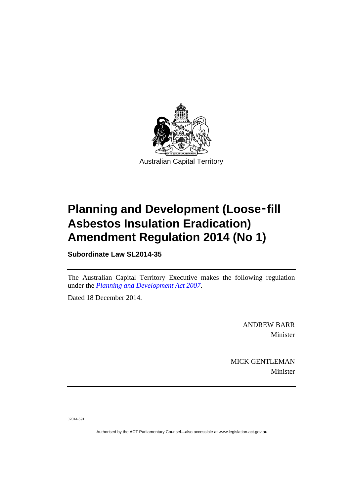

# **Planning and Development (Loose**‑**fill Asbestos Insulation Eradication) Amendment Regulation 2014 (No 1)**

**Subordinate Law SL2014-35** 

The Australian Capital Territory Executive makes the following regulation under the *[Planning and Development Act 2007](http://www.legislation.act.gov.au/a/2007-24)*.

Dated 18 December 2014.

ANDREW BARR Minister

MICK GENTLEMAN Minister

J2014-591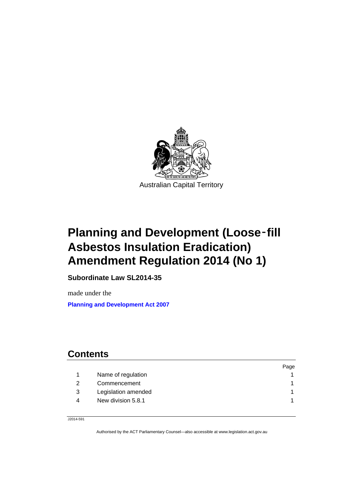

# **Planning and Development (Loose**‑**fill Asbestos Insulation Eradication) Amendment Regulation 2014 (No 1)**

**Subordinate Law SL2014-35** 

made under the **[Planning and Development Act 2007](http://www.legislation.act.gov.au/a/2007-24)**

## **Contents**

|   |                     | Page |
|---|---------------------|------|
|   | Name of regulation  |      |
|   | Commencement        |      |
| 3 | Legislation amended |      |
| 4 | New division 5.8.1  |      |
|   |                     |      |

J2014-591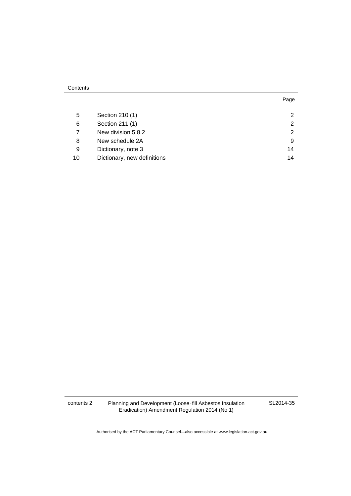#### **Contents**

| . .<br>×<br>۰. |  |
|----------------|--|

| 5  | Section 210 (1)             | $\mathcal{P}$ |
|----|-----------------------------|---------------|
| 6  | Section 211 (1)             | $\mathcal{P}$ |
|    | New division 5.8.2          | 2             |
| 8  | New schedule 2A             | 9             |
| 9  | Dictionary, note 3          | 14            |
| 10 | Dictionary, new definitions | 14            |

contents 2 Planning and Development (Loose‑fill Asbestos Insulation Eradication) Amendment Regulation 2014 (No 1)

SL2014-35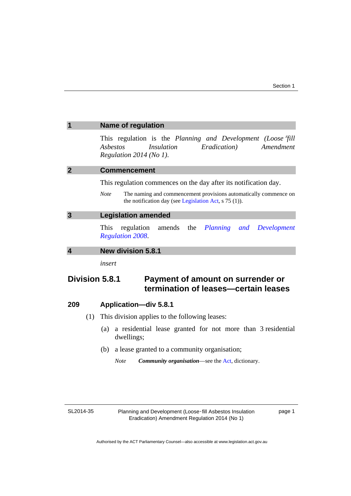<span id="page-4-2"></span><span id="page-4-1"></span><span id="page-4-0"></span>

|                  |     | <b>Name of regulation</b>                                                                                                                                    |
|------------------|-----|--------------------------------------------------------------------------------------------------------------------------------------------------------------|
|                  |     | This regulation is the Planning and Development (Loose fill<br><i>Insulation</i><br>Amendment<br>Ashestos<br><i>Eradication</i> )<br>Regulation 2014 (No 1). |
| $\overline{2}$   |     | <b>Commencement</b>                                                                                                                                          |
|                  |     | This regulation commences on the day after its notification day.                                                                                             |
|                  |     | <b>Note</b><br>The naming and commencement provisions automatically commence on<br>the notification day (see Legislation Act, $s$ 75 (1)).                   |
| $\overline{3}$   |     | <b>Legislation amended</b>                                                                                                                                   |
|                  |     | regulation amends the<br>Planning and<br><b>This</b><br>Development<br><b>Regulation 2008.</b>                                                               |
| $\boldsymbol{4}$ |     | <b>New division 5.8.1</b>                                                                                                                                    |
|                  |     | insert                                                                                                                                                       |
|                  |     | Division 5.8.1<br>Payment of amount on surrender or<br>termination of leases-certain leases                                                                  |
| 209              |     | <b>Application-div 5.8.1</b>                                                                                                                                 |
|                  | (1) | This division applies to the following leases:                                                                                                               |
|                  |     | a residential lease granted for not more than 3 residential<br>(a)<br>dwellings;                                                                             |

<span id="page-4-3"></span>(b) a lease granted to a community organisation;

*Note Community organisation*—see the [Act,](http://www.legislation.act.gov.au/a/2007-24/default.asp) dictionary.

SL2014-35

Planning and Development (Loose-fill Asbestos Insulation Eradication) Amendment Regulation 2014 (No 1)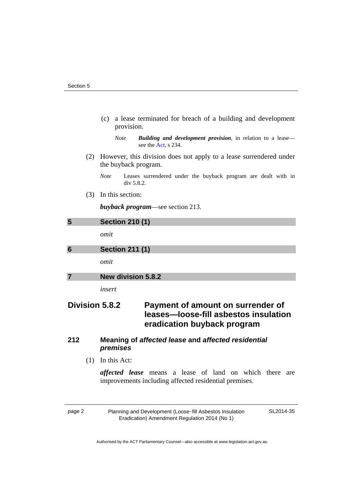(c) a lease terminated for breach of a building and development provision.

*Note Building and development provision*, in relation to a lease see the [Act,](http://www.legislation.act.gov.au/a/2007-24/default.asp) s 234.

- (2) However, this division does not apply to a lease surrendered under the buyback program.
	- *Note* Leases surrendered under the buyback program are dealt with in div 5.8.2.
- (3) In this section:

*buyback program*—see section 213.

<span id="page-5-1"></span><span id="page-5-0"></span>

| 5 | <b>Section 210 (1)</b>    |
|---|---------------------------|
|   | omit                      |
| 6 | <b>Section 211 (1)</b>    |
|   | omit                      |
|   | <b>New division 5.8.2</b> |
|   | insert                    |

## <span id="page-5-2"></span>**Division 5.8.2 Payment of amount on surrender of leases—loose-fill asbestos insulation eradication buyback program**

#### **212 Meaning of** *affected lease* **and** *affected residential premises*

(1) In this Act:

*affected lease* means a lease of land on which there are improvements including affected residential premises.

page 2 Planning and Development (Loose-fill Asbestos Insulation Eradication) Amendment Regulation 2014 (No 1)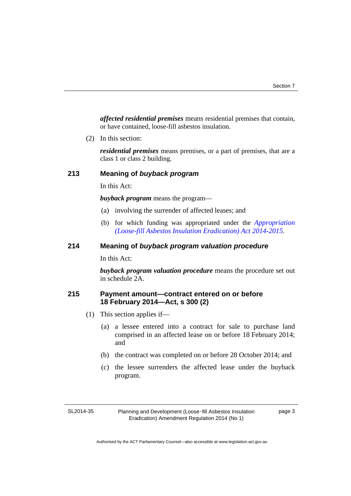*affected residential premises* means residential premises that contain, or have contained, loose-fill asbestos insulation.

(2) In this section:

*residential premises* means premises, or a part of premises, that are a class 1 or class 2 building.

#### **213 Meaning of** *buyback program*

In this Act:

*buyback program* means the program—

- (a) involving the surrender of affected leases; and
- (b) for which funding was appropriated under the *[Appropriation](http://www.legislation.act.gov.au/a/2014-61/default.asp)  [\(Loose-fill Asbestos Insulation Eradication\) Act 2014-2015](http://www.legislation.act.gov.au/a/2014-61/default.asp)*.

#### **214 Meaning of** *buyback program valuation procedure*

In this Act:

*buyback program valuation procedure* means the procedure set out in schedule 2A.

#### **215 Payment amount—contract entered on or before 18 February 2014—Act, s 300 (2)**

- (1) This section applies if—
	- (a) a lessee entered into a contract for sale to purchase land comprised in an affected lease on or before 18 February 2014; and
	- (b) the contract was completed on or before 28 October 2014; and
	- (c) the lessee surrenders the affected lease under the buyback program.

SL2014-35

Planning and Development (Loose‑fill Asbestos Insulation Eradication) Amendment Regulation 2014 (No 1)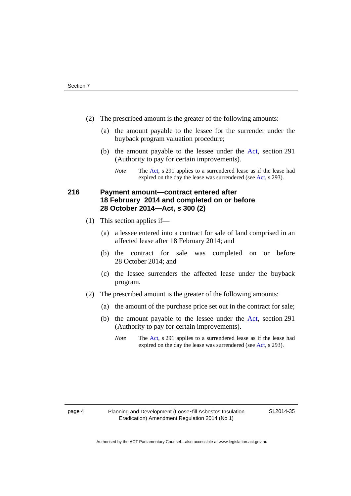- (2) The prescribed amount is the greater of the following amounts:
	- (a) the amount payable to the lessee for the surrender under the buyback program valuation procedure;
	- (b) the amount payable to the lessee under the [Act](http://www.legislation.act.gov.au/a/2007-24/default.asp), section 291 (Authority to pay for certain improvements).
		- *Note* The [Act,](http://www.legislation.act.gov.au/a/2007-24/default.asp) s 291 applies to a surrendered lease as if the lease had expired on the day the lease was surrendered (see [Act,](http://www.legislation.act.gov.au/a/2007-24/default.asp) s 293).

### **216 Payment amount—contract entered after 18 February 2014 and completed on or before 28 October 2014—Act, s 300 (2)**

- (1) This section applies if—
	- (a) a lessee entered into a contract for sale of land comprised in an affected lease after 18 February 2014; and
	- (b) the contract for sale was completed on or before 28 October 2014; and
	- (c) the lessee surrenders the affected lease under the buyback program.
- (2) The prescribed amount is the greater of the following amounts:
	- (a) the amount of the purchase price set out in the contract for sale;
	- (b) the amount payable to the lessee under the [Act](http://www.legislation.act.gov.au/a/2007-24/default.asp), section 291 (Authority to pay for certain improvements).
		- *Note* The [Act,](http://www.legislation.act.gov.au/a/2007-24/default.asp) s 291 applies to a surrendered lease as if the lease had expired on the day the lease was surrendered (see [Act,](http://www.legislation.act.gov.au/a/2007-24/default.asp) s 293).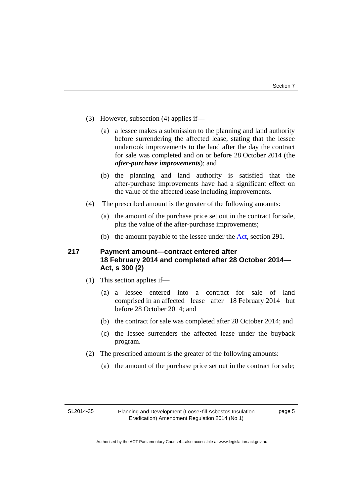- (3) However, subsection (4) applies if—
	- (a) a lessee makes a submission to the planning and land authority before surrendering the affected lease, stating that the lessee undertook improvements to the land after the day the contract for sale was completed and on or before 28 October 2014 (the *after-purchase improvements*); and
	- (b) the planning and land authority is satisfied that the after-purchase improvements have had a significant effect on the value of the affected lease including improvements.
- (4) The prescribed amount is the greater of the following amounts:
	- (a) the amount of the purchase price set out in the contract for sale, plus the value of the after-purchase improvements;
	- (b) the amount payable to the lessee under the [Act,](http://www.legislation.act.gov.au/a/2007-24/default.asp) section 291.

#### **217 Payment amount—contract entered after 18 February 2014 and completed after 28 October 2014— Act, s 300 (2)**

- (1) This section applies if—
	- (a) a lessee entered into a contract for sale of land comprised in an affected lease after 18 February 2014 but before 28 October 2014; and
	- (b) the contract for sale was completed after 28 October 2014; and
	- (c) the lessee surrenders the affected lease under the buyback program.
- (2) The prescribed amount is the greater of the following amounts:
	- (a) the amount of the purchase price set out in the contract for sale;

SL2014-35

Planning and Development (Loose‑fill Asbestos Insulation Eradication) Amendment Regulation 2014 (No 1)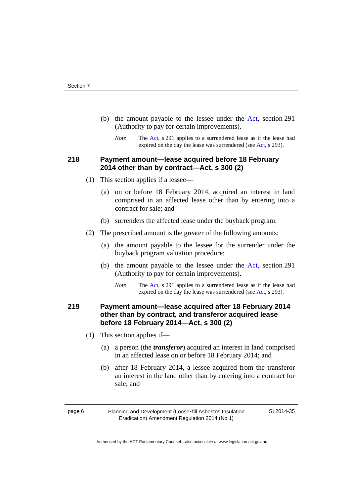- (b) the amount payable to the lessee under the [Act](http://www.legislation.act.gov.au/a/2007-24/default.asp), section 291 (Authority to pay for certain improvements).
	- *Note* The [Act,](http://www.legislation.act.gov.au/a/2007-24/default.asp) s 291 applies to a surrendered lease as if the lease had expired on the day the lease was surrendered (see [Act,](http://www.legislation.act.gov.au/a/2007-24/default.asp) s 293).

### **218 Payment amount—lease acquired before 18 February 2014 other than by contract—Act, s 300 (2)**

- (1) This section applies if a lessee—
	- (a) on or before 18 February 2014, acquired an interest in land comprised in an affected lease other than by entering into a contract for sale; and
	- (b) surrenders the affected lease under the buyback program.
- (2) The prescribed amount is the greater of the following amounts:
	- (a) the amount payable to the lessee for the surrender under the buyback program valuation procedure;
	- (b) the amount payable to the lessee under the [Act](http://www.legislation.act.gov.au/a/2007-24/default.asp), section 291 (Authority to pay for certain improvements).
		- *Note* The [Act,](http://www.legislation.act.gov.au/a/2007-24/default.asp) s 291 applies to a surrendered lease as if the lease had expired on the day the lease was surrendered (see [Act,](http://www.legislation.act.gov.au/a/2007-24/default.asp) s 293).

### **219 Payment amount—lease acquired after 18 February 2014 other than by contract, and transferor acquired lease before 18 February 2014—Act, s 300 (2)**

- (1) This section applies if—
	- (a) a person (the *transferor*) acquired an interest in land comprised in an affected lease on or before 18 February 2014; and
	- (b) after 18 February 2014, a lessee acquired from the transferor an interest in the land other than by entering into a contract for sale; and

page 6 Planning and Development (Loose-fill Asbestos Insulation Eradication) Amendment Regulation 2014 (No 1)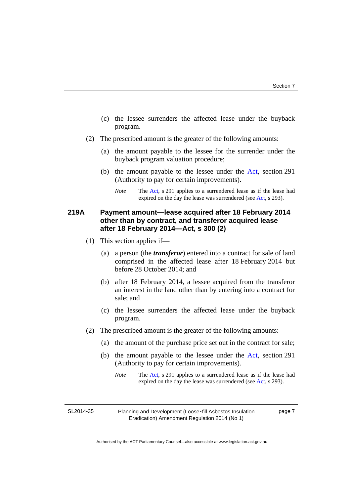- (c) the lessee surrenders the affected lease under the buyback program.
- (2) The prescribed amount is the greater of the following amounts:
	- (a) the amount payable to the lessee for the surrender under the buyback program valuation procedure;
	- (b) the amount payable to the lessee under the [Act](http://www.legislation.act.gov.au/a/2007-24/default.asp), section 291 (Authority to pay for certain improvements).

### **219A Payment amount—lease acquired after 18 February 2014 other than by contract, and transferor acquired lease after 18 February 2014—Act, s 300 (2)**

- (1) This section applies if—
	- (a) a person (the *transferor*) entered into a contract for sale of land comprised in the affected lease after 18 February 2014 but before 28 October 2014; and
	- (b) after 18 February 2014, a lessee acquired from the transferor an interest in the land other than by entering into a contract for sale; and
	- (c) the lessee surrenders the affected lease under the buyback program.
- (2) The prescribed amount is the greater of the following amounts:
	- (a) the amount of the purchase price set out in the contract for sale;
	- (b) the amount payable to the lessee under the [Act](http://www.legislation.act.gov.au/a/2007-24/default.asp), section 291 (Authority to pay for certain improvements).
		- *Note* The [Act,](http://www.legislation.act.gov.au/a/2007-24/default.asp) s 291 applies to a surrendered lease as if the lease had expired on the day the lease was surrendered (see [Act,](http://www.legislation.act.gov.au/a/2007-24/default.asp) s 293).

SL2014-35

Planning and Development (Loose‑fill Asbestos Insulation Eradication) Amendment Regulation 2014 (No 1)

page 7

*Note* The [Act,](http://www.legislation.act.gov.au/a/2007-24/default.asp) s 291 applies to a surrendered lease as if the lease had expired on the day the lease was surrendered (see [Act,](http://www.legislation.act.gov.au/a/2007-24/default.asp) s 293).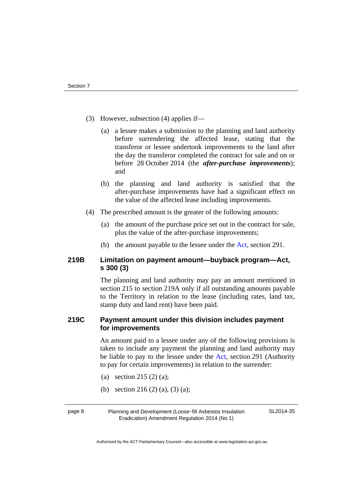- (3) However, subsection (4) applies if—
	- (a) a lessee makes a submission to the planning and land authority before surrendering the affected lease, stating that the transferor or lessee undertook improvements to the land after the day the transferor completed the contract for sale and on or before 28 October 2014 (the *after-purchase improvements*); and
	- (b) the planning and land authority is satisfied that the after-purchase improvements have had a significant effect on the value of the affected lease including improvements.
- (4) The prescribed amount is the greater of the following amounts:
	- (a) the amount of the purchase price set out in the contract for sale, plus the value of the after-purchase improvements;
	- (b) the amount payable to the lessee under the [Act,](http://www.legislation.act.gov.au/a/2007-24/default.asp) section 291.

#### **219B Limitation on payment amount—buyback program—Act, s 300 (3)**

The planning and land authority may pay an amount mentioned in section 215 to section 219A only if all outstanding amounts payable to the Territory in relation to the lease (including rates, land tax, stamp duty and land rent) have been paid.

#### **219C Payment amount under this division includes payment for improvements**

An amount paid to a lessee under any of the following provisions is taken to include any payment the planning and land authority may be liable to pay to the lessee under the [Act,](http://www.legislation.act.gov.au/a/2007-24/default.asp) section 291 (Authority to pay for certain improvements) in relation to the surrender:

- (a) section 215 (2) (a);
- (b) section 216 (2) (a), (3) (a);

page 8 Planning and Development (Loose-fill Asbestos Insulation Eradication) Amendment Regulation 2014 (No 1)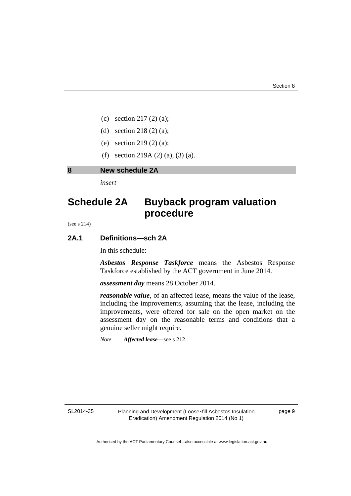- (c) section 217 (2) (a);
- (d) section 218 (2) (a);
- (e) section 219 (2) (a);
- (f) section 219A (2) (a), (3) (a).

#### <span id="page-12-0"></span>**8 New schedule 2A**

*insert* 

# **Schedule 2A Buyback program valuation procedure**

(see s 214)

#### **2A.1 Definitions—sch 2A**

In this schedule:

*Asbestos Response Taskforce* means the Asbestos Response Taskforce established by the ACT government in June 2014.

*assessment day* means 28 October 2014.

*reasonable value*, of an affected lease, means the value of the lease, including the improvements, assuming that the lease, including the improvements, were offered for sale on the open market on the assessment day on the reasonable terms and conditions that a genuine seller might require.

*Note Affected lease*—see s 212.

SL2014-35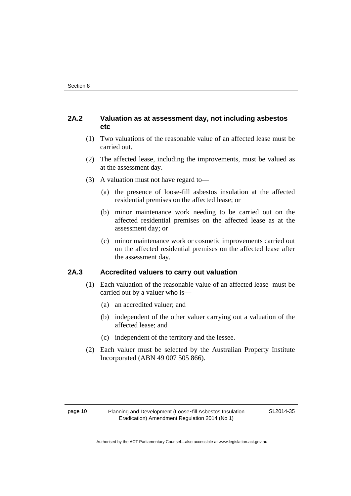#### **2A.2 Valuation as at assessment day, not including asbestos etc**

- (1) Two valuations of the reasonable value of an affected lease must be carried out.
- (2) The affected lease, including the improvements, must be valued as at the assessment day.
- (3) A valuation must not have regard to—
	- (a) the presence of loose-fill asbestos insulation at the affected residential premises on the affected lease; or
	- (b) minor maintenance work needing to be carried out on the affected residential premises on the affected lease as at the assessment day; or
	- (c) minor maintenance work or cosmetic improvements carried out on the affected residential premises on the affected lease after the assessment day.

#### **2A.3 Accredited valuers to carry out valuation**

- (1) Each valuation of the reasonable value of an affected lease must be carried out by a valuer who is—
	- (a) an accredited valuer; and
	- (b) independent of the other valuer carrying out a valuation of the affected lease; and
	- (c) independent of the territory and the lessee.
- (2) Each valuer must be selected by the Australian Property Institute Incorporated (ABN 49 007 505 866).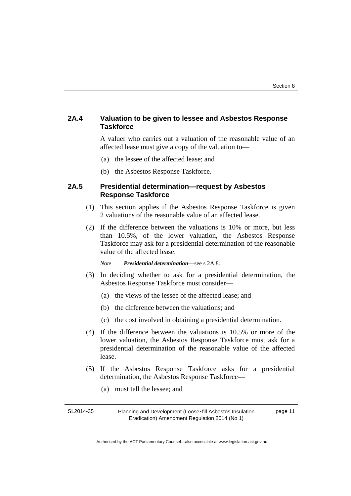#### **2A.4 Valuation to be given to lessee and Asbestos Response Taskforce**

A valuer who carries out a valuation of the reasonable value of an affected lease must give a copy of the valuation to—

- (a) the lessee of the affected lease; and
- (b) the Asbestos Response Taskforce.

#### **2A.5 Presidential determination—request by Asbestos Response Taskforce**

- (1) This section applies if the Asbestos Response Taskforce is given 2 valuations of the reasonable value of an affected lease.
- (2) If the difference between the valuations is 10% or more, but less than 10.5%, of the lower valuation, the Asbestos Response Taskforce may ask for a presidential determination of the reasonable value of the affected lease.

*Note Presidential determination*—see s 2A.8.

- (3) In deciding whether to ask for a presidential determination, the Asbestos Response Taskforce must consider—
	- (a) the views of the lessee of the affected lease; and
	- (b) the difference between the valuations; and
	- (c) the cost involved in obtaining a presidential determination.
- (4) If the difference between the valuations is 10.5% or more of the lower valuation, the Asbestos Response Taskforce must ask for a presidential determination of the reasonable value of the affected lease.
- (5) If the Asbestos Response Taskforce asks for a presidential determination, the Asbestos Response Taskforce—
	- (a) must tell the lessee; and

SL2014-35 Planning and Development (Loose‑fill Asbestos Insulation Eradication) Amendment Regulation 2014 (No 1) page 11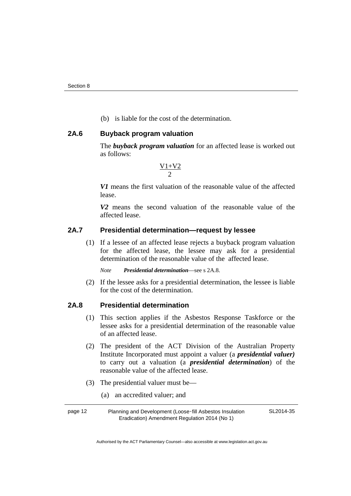(b) is liable for the cost of the determination.

#### **2A.6 Buyback program valuation**

The *buyback program valuation* for an affected lease is worked out as follows:

$$
\tfrac{V1\!+\!V2}{2}
$$

*V1* means the first valuation of the reasonable value of the affected lease.

*V2* means the second valuation of the reasonable value of the affected lease.

#### **2A.7 Presidential determination—request by lessee**

 (1) If a lessee of an affected lease rejects a buyback program valuation for the affected lease, the lessee may ask for a presidential determination of the reasonable value of the affected lease.

*Note Presidential determination*—see s 2A.8.

 (2) If the lessee asks for a presidential determination, the lessee is liable for the cost of the determination.

#### **2A.8 Presidential determination**

- (1) This section applies if the Asbestos Response Taskforce or the lessee asks for a presidential determination of the reasonable value of an affected lease.
- (2) The president of the ACT Division of the Australian Property Institute Incorporated must appoint a valuer (a *presidential valuer)* to carry out a valuation (a *presidential determination*) of the reasonable value of the affected lease.
- (3) The presidential valuer must be—
	- (a) an accredited valuer; and

page 12 Planning and Development (Loose-fill Asbestos Insulation Eradication) Amendment Regulation 2014 (No 1)

SL2014-35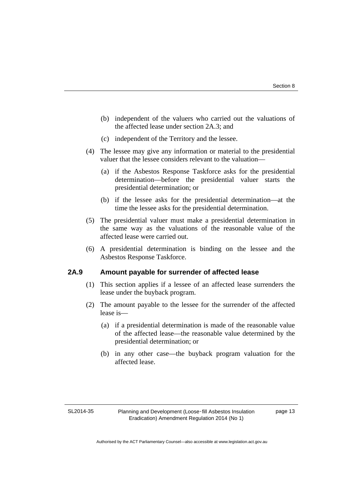- (b) independent of the valuers who carried out the valuations of the affected lease under section 2A.3; and
- (c) independent of the Territory and the lessee.
- (4) The lessee may give any information or material to the presidential valuer that the lessee considers relevant to the valuation—
	- (a) if the Asbestos Response Taskforce asks for the presidential determination—before the presidential valuer starts the presidential determination; or
	- (b) if the lessee asks for the presidential determination—at the time the lessee asks for the presidential determination.
- (5) The presidential valuer must make a presidential determination in the same way as the valuations of the reasonable value of the affected lease were carried out.
- (6) A presidential determination is binding on the lessee and the Asbestos Response Taskforce.

#### **2A.9 Amount payable for surrender of affected lease**

- (1) This section applies if a lessee of an affected lease surrenders the lease under the buyback program.
- (2) The amount payable to the lessee for the surrender of the affected lease is—
	- (a) if a presidential determination is made of the reasonable value of the affected lease—the reasonable value determined by the presidential determination; or
	- (b) in any other case—the buyback program valuation for the affected lease.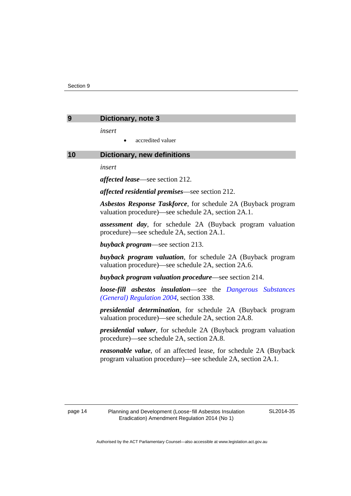<span id="page-17-0"></span>

| Dictionary, note 3 |  |
|--------------------|--|
|                    |  |

*insert* 

accredited valuer

#### <span id="page-17-1"></span>**10 Dictionary, new definitions**

*insert* 

*affected lease*—see section 212.

*affected residential premises*—see section 212.

*Asbestos Response Taskforce*, for schedule 2A (Buyback program valuation procedure)—see schedule 2A, section 2A.1.

*assessment day*, for schedule 2A (Buyback program valuation procedure)—see schedule 2A, section 2A.1.

*buyback program*—see section 213.

*buyback program valuation*, for schedule 2A (Buyback program valuation procedure)—see schedule 2A, section 2A.6.

*buyback program valuation procedure*—see section 214.

*loose-fill asbestos insulation*—see the *[Dangerous Substances](http://www.legislation.act.gov.au/sl/2004-56)  [\(General\) Regulation 2004](http://www.legislation.act.gov.au/sl/2004-56)*, section 338.

*presidential determination*, for schedule 2A (Buyback program valuation procedure)—see schedule 2A, section 2A.8.

*presidential valuer*, for schedule 2A (Buyback program valuation procedure)—see schedule 2A, section 2A.8.

*reasonable value*, of an affected lease, for schedule 2A (Buyback program valuation procedure)—see schedule 2A, section 2A.1.

SL2014-35